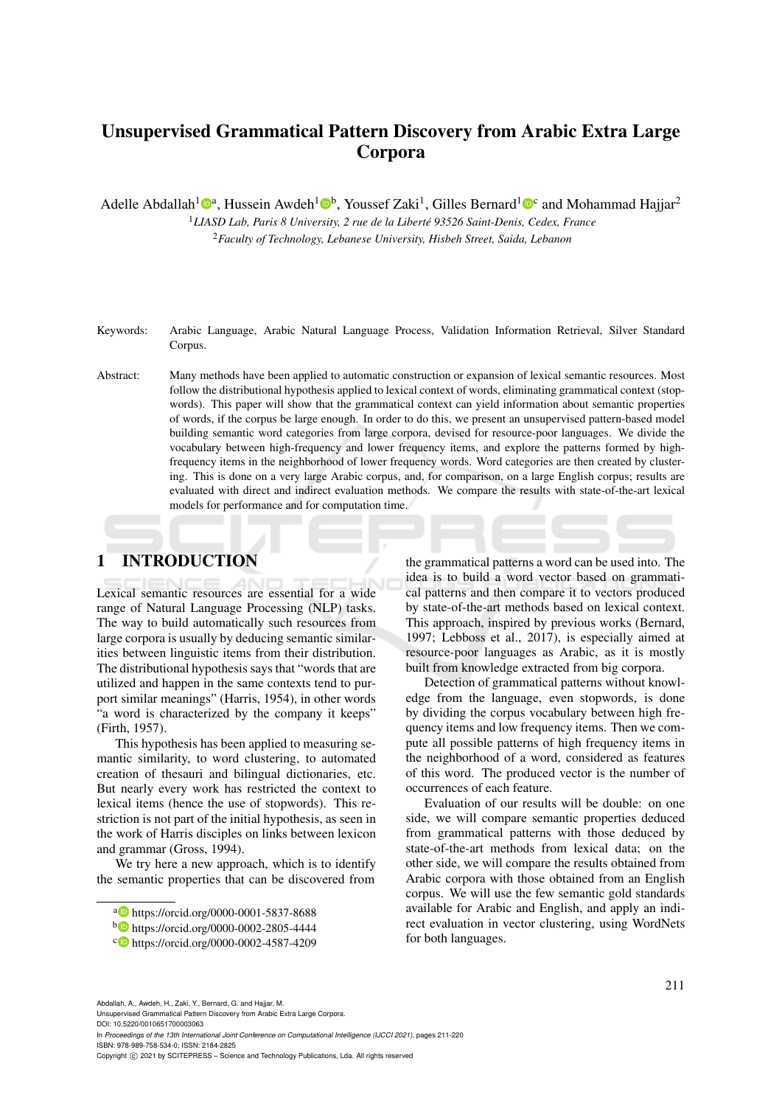# Unsupervised Grammatical Pattern Discovery from Arabic Extra Large Corpora

Adelle Abdallah<sup>1</sup><sup>®</sup><sup>a</sup>, Hussein Awdeh<sup>1</sup><sup>®</sup>b, Youssef Zaki<sup>1</sup>, Gilles Bernard<sup>1</sup><sup>®</sup> and Mohammad Hajjar<sup>2</sup>

<sup>1</sup>*LIASD Lab, Paris 8 University, 2 rue de la Liberte 93526 Saint-Denis, Cedex, France ´* <sup>2</sup>*Faculty of Technology, Lebanese University, Hisbeh Street, Saida, Lebanon*

Keywords: Arabic Language, Arabic Natural Language Process, Validation Information Retrieval, Silver Standard Corpus.

Abstract: Many methods have been applied to automatic construction or expansion of lexical semantic resources. Most follow the distributional hypothesis applied to lexical context of words, eliminating grammatical context (stopwords). This paper will show that the grammatical context can yield information about semantic properties of words, if the corpus be large enough. In order to do this, we present an unsupervised pattern-based model building semantic word categories from large corpora, devised for resource-poor languages. We divide the vocabulary between high-frequency and lower frequency items, and explore the patterns formed by highfrequency items in the neighborhood of lower frequency words. Word categories are then created by clustering. This is done on a very large Arabic corpus, and, for comparison, on a large English corpus; results are evaluated with direct and indirect evaluation methods. We compare the results with state-of-the-art lexical models for performance and for computation time.

## 1 INTRODUCTION

Lexical semantic resources are essential for a wide range of Natural Language Processing (NLP) tasks. The way to build automatically such resources from large corpora is usually by deducing semantic similarities between linguistic items from their distribution. The distributional hypothesis says that "words that are utilized and happen in the same contexts tend to purport similar meanings" (Harris, 1954), in other words "a word is characterized by the company it keeps" (Firth, 1957).

This hypothesis has been applied to measuring semantic similarity, to word clustering, to automated creation of thesauri and bilingual dictionaries, etc. But nearly every work has restricted the context to lexical items (hence the use of stopwords). This restriction is not part of the initial hypothesis, as seen in the work of Harris disciples on links between lexicon and grammar (Gross, 1994).

We try here a new approach, which is to identify the semantic properties that can be discovered from

the grammatical patterns a word can be used into. The idea is to build a word vector based on grammatical patterns and then compare it to vectors produced by state-of-the-art methods based on lexical context. This approach, inspired by previous works (Bernard, 1997; Lebboss et al., 2017), is especially aimed at resource-poor languages as Arabic, as it is mostly built from knowledge extracted from big corpora.

Detection of grammatical patterns without knowledge from the language, even stopwords, is done by dividing the corpus vocabulary between high frequency items and low frequency items. Then we compute all possible patterns of high frequency items in the neighborhood of a word, considered as features of this word. The produced vector is the number of occurrences of each feature.

Evaluation of our results will be double: on one side, we will compare semantic properties deduced from grammatical patterns with those deduced by state-of-the-art methods from lexical data; on the other side, we will compare the results obtained from Arabic corpora with those obtained from an English corpus. We will use the few semantic gold standards available for Arabic and English, and apply an indirect evaluation in vector clustering, using WordNets for both languages.

Abdallah, A., Awdeh, H., Zaki, Y., Bernard, G. and Hajjar, M. Unsupervised Grammatical Pattern Discovery from Arabic Extra Large Corpora.

DOI: 10.5220/0010651700003063 In *Proceedings of the 13th International Joint Conference on Computational Intelligence (IJCCI 2021)*, pages 211-220 ISBN: 978-989-758-534-0; ISSN: 2184-2825

a https://orcid.org/0000-0001-5837-8688

<sup>b</sup> https://orcid.org/0000-0002-2805-4444

<sup>c</sup> https://orcid.org/0000-0002-4587-4209

Copyright (C) 2021 by SCITEPRESS - Science and Technology Publications, Lda. All rights reserved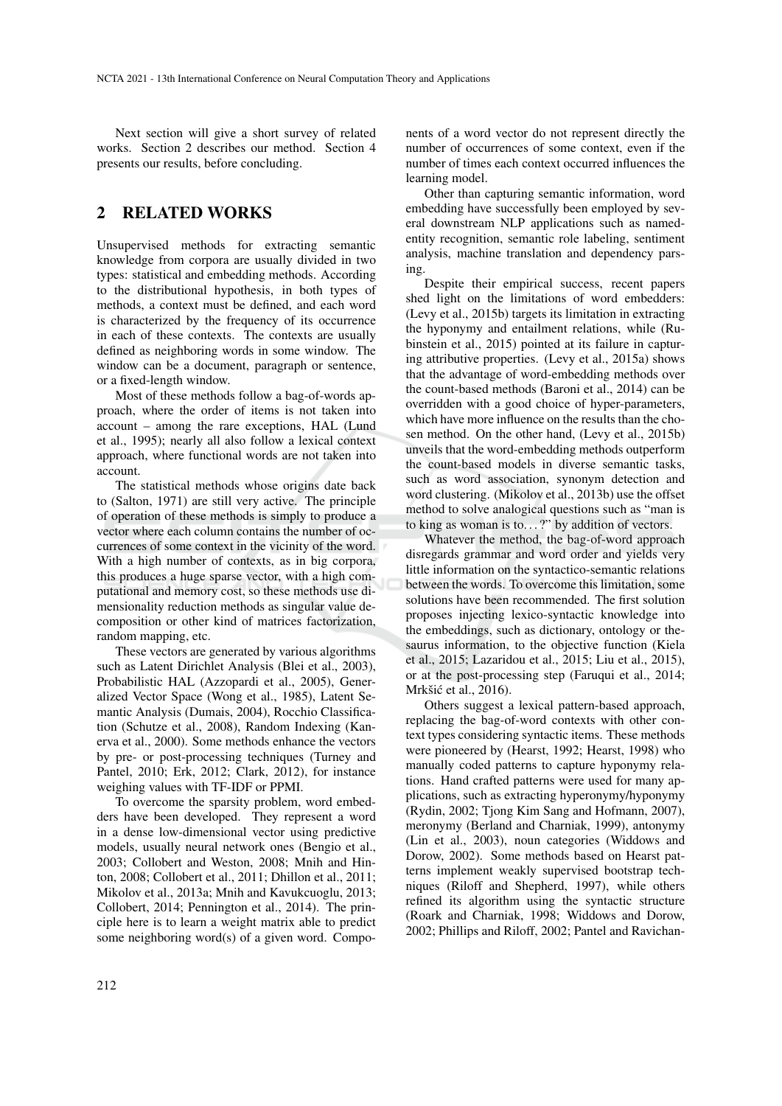Next section will give a short survey of related works. Section 2 describes our method. Section 4 presents our results, before concluding.

## 2 RELATED WORKS

Unsupervised methods for extracting semantic knowledge from corpora are usually divided in two types: statistical and embedding methods. According to the distributional hypothesis, in both types of methods, a context must be defined, and each word is characterized by the frequency of its occurrence in each of these contexts. The contexts are usually defined as neighboring words in some window. The window can be a document, paragraph or sentence, or a fixed-length window.

Most of these methods follow a bag-of-words approach, where the order of items is not taken into account – among the rare exceptions, HAL (Lund et al., 1995); nearly all also follow a lexical context approach, where functional words are not taken into account.

The statistical methods whose origins date back to (Salton, 1971) are still very active. The principle of operation of these methods is simply to produce a vector where each column contains the number of occurrences of some context in the vicinity of the word. With a high number of contexts, as in big corpora, this produces a huge sparse vector, with a high computational and memory cost, so these methods use dimensionality reduction methods as singular value decomposition or other kind of matrices factorization, random mapping, etc.

These vectors are generated by various algorithms such as Latent Dirichlet Analysis (Blei et al., 2003), Probabilistic HAL (Azzopardi et al., 2005), Generalized Vector Space (Wong et al., 1985), Latent Semantic Analysis (Dumais, 2004), Rocchio Classification (Schutze et al., 2008), Random Indexing (Kanerva et al., 2000). Some methods enhance the vectors by pre- or post-processing techniques (Turney and Pantel, 2010; Erk, 2012; Clark, 2012), for instance weighing values with TF-IDF or PPMI.

To overcome the sparsity problem, word embedders have been developed. They represent a word in a dense low-dimensional vector using predictive models, usually neural network ones (Bengio et al., 2003; Collobert and Weston, 2008; Mnih and Hinton, 2008; Collobert et al., 2011; Dhillon et al., 2011; Mikolov et al., 2013a; Mnih and Kavukcuoglu, 2013; Collobert, 2014; Pennington et al., 2014). The principle here is to learn a weight matrix able to predict some neighboring word(s) of a given word. Components of a word vector do not represent directly the number of occurrences of some context, even if the number of times each context occurred influences the learning model.

Other than capturing semantic information, word embedding have successfully been employed by several downstream NLP applications such as namedentity recognition, semantic role labeling, sentiment analysis, machine translation and dependency parsing.

Despite their empirical success, recent papers shed light on the limitations of word embedders: (Levy et al., 2015b) targets its limitation in extracting the hyponymy and entailment relations, while (Rubinstein et al., 2015) pointed at its failure in capturing attributive properties. (Levy et al., 2015a) shows that the advantage of word-embedding methods over the count-based methods (Baroni et al., 2014) can be overridden with a good choice of hyper-parameters, which have more influence on the results than the chosen method. On the other hand, (Levy et al., 2015b) unveils that the word-embedding methods outperform the count-based models in diverse semantic tasks, such as word association, synonym detection and word clustering. (Mikolov et al., 2013b) use the offset method to solve analogical questions such as "man is to king as woman is to...?" by addition of vectors.

Whatever the method, the bag-of-word approach disregards grammar and word order and yields very little information on the syntactico-semantic relations between the words. To overcome this limitation, some solutions have been recommended. The first solution proposes injecting lexico-syntactic knowledge into the embeddings, such as dictionary, ontology or thesaurus information, to the objective function (Kiela et al., 2015; Lazaridou et al., 2015; Liu et al., 2015), or at the post-processing step (Faruqui et al., 2014; Mrkšić et al., 2016).

Others suggest a lexical pattern-based approach, replacing the bag-of-word contexts with other context types considering syntactic items. These methods were pioneered by (Hearst, 1992; Hearst, 1998) who manually coded patterns to capture hyponymy relations. Hand crafted patterns were used for many applications, such as extracting hyperonymy/hyponymy (Rydin, 2002; Tjong Kim Sang and Hofmann, 2007), meronymy (Berland and Charniak, 1999), antonymy (Lin et al., 2003), noun categories (Widdows and Dorow, 2002). Some methods based on Hearst patterns implement weakly supervised bootstrap techniques (Riloff and Shepherd, 1997), while others refined its algorithm using the syntactic structure (Roark and Charniak, 1998; Widdows and Dorow, 2002; Phillips and Riloff, 2002; Pantel and Ravichan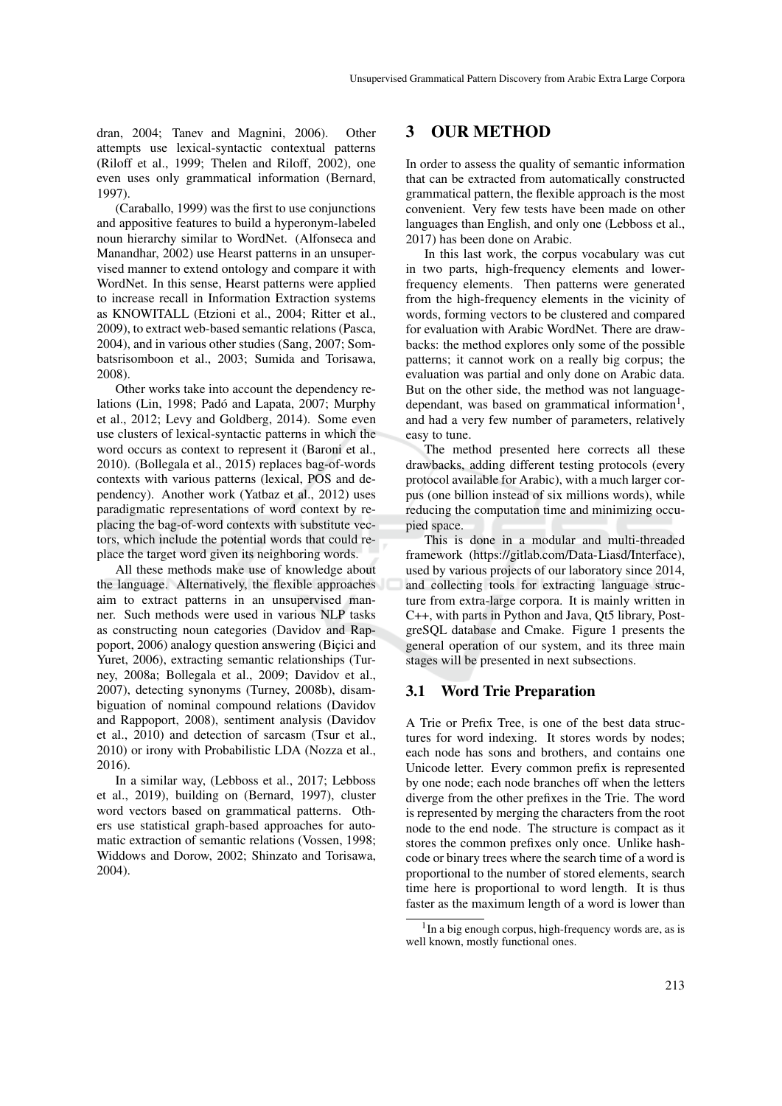dran, 2004; Tanev and Magnini, 2006). Other attempts use lexical-syntactic contextual patterns (Riloff et al., 1999; Thelen and Riloff, 2002), one even uses only grammatical information (Bernard, 1997).

(Caraballo, 1999) was the first to use conjunctions and appositive features to build a hyperonym-labeled noun hierarchy similar to WordNet. (Alfonseca and Manandhar, 2002) use Hearst patterns in an unsupervised manner to extend ontology and compare it with WordNet. In this sense, Hearst patterns were applied to increase recall in Information Extraction systems as KNOWITALL (Etzioni et al., 2004; Ritter et al., 2009), to extract web-based semantic relations (Pasca, 2004), and in various other studies (Sang, 2007; Sombatsrisomboon et al., 2003; Sumida and Torisawa, 2008).

Other works take into account the dependency relations (Lin, 1998; Padó and Lapata, 2007; Murphy et al., 2012; Levy and Goldberg, 2014). Some even use clusters of lexical-syntactic patterns in which the word occurs as context to represent it (Baroni et al., 2010). (Bollegala et al., 2015) replaces bag-of-words contexts with various patterns (lexical, POS and dependency). Another work (Yatbaz et al., 2012) uses paradigmatic representations of word context by replacing the bag-of-word contexts with substitute vectors, which include the potential words that could replace the target word given its neighboring words.

All these methods make use of knowledge about the language. Alternatively, the flexible approaches aim to extract patterns in an unsupervised manner. Such methods were used in various NLP tasks as constructing noun categories (Davidov and Rappoport, 2006) analogy question answering (Bicici and Yuret, 2006), extracting semantic relationships (Turney, 2008a; Bollegala et al., 2009; Davidov et al., 2007), detecting synonyms (Turney, 2008b), disambiguation of nominal compound relations (Davidov and Rappoport, 2008), sentiment analysis (Davidov et al., 2010) and detection of sarcasm (Tsur et al., 2010) or irony with Probabilistic LDA (Nozza et al., 2016).

In a similar way, (Lebboss et al., 2017; Lebboss et al., 2019), building on (Bernard, 1997), cluster word vectors based on grammatical patterns. Others use statistical graph-based approaches for automatic extraction of semantic relations (Vossen, 1998; Widdows and Dorow, 2002; Shinzato and Torisawa, 2004).

## 3 OUR METHOD

In order to assess the quality of semantic information that can be extracted from automatically constructed grammatical pattern, the flexible approach is the most convenient. Very few tests have been made on other languages than English, and only one (Lebboss et al., 2017) has been done on Arabic.

In this last work, the corpus vocabulary was cut in two parts, high-frequency elements and lowerfrequency elements. Then patterns were generated from the high-frequency elements in the vicinity of words, forming vectors to be clustered and compared for evaluation with Arabic WordNet. There are drawbacks: the method explores only some of the possible patterns; it cannot work on a really big corpus; the evaluation was partial and only done on Arabic data. But on the other side, the method was not languagedependant, was based on grammatical information<sup>1</sup>, and had a very few number of parameters, relatively easy to tune.

The method presented here corrects all these drawbacks, adding different testing protocols (every protocol available for Arabic), with a much larger corpus (one billion instead of six millions words), while reducing the computation time and minimizing occupied space.

This is done in a modular and multi-threaded framework (https://gitlab.com/Data-Liasd/Interface), used by various projects of our laboratory since 2014, and collecting tools for extracting language structure from extra-large corpora. It is mainly written in C++, with parts in Python and Java, Qt5 library, PostgreSQL database and Cmake. Figure 1 presents the general operation of our system, and its three main stages will be presented in next subsections.

## 3.1 Word Trie Preparation

A Trie or Prefix Tree, is one of the best data structures for word indexing. It stores words by nodes; each node has sons and brothers, and contains one Unicode letter. Every common prefix is represented by one node; each node branches off when the letters diverge from the other prefixes in the Trie. The word is represented by merging the characters from the root node to the end node. The structure is compact as it stores the common prefixes only once. Unlike hashcode or binary trees where the search time of a word is proportional to the number of stored elements, search time here is proportional to word length. It is thus faster as the maximum length of a word is lower than

<sup>1</sup> In a big enough corpus, high-frequency words are, as is well known, mostly functional ones.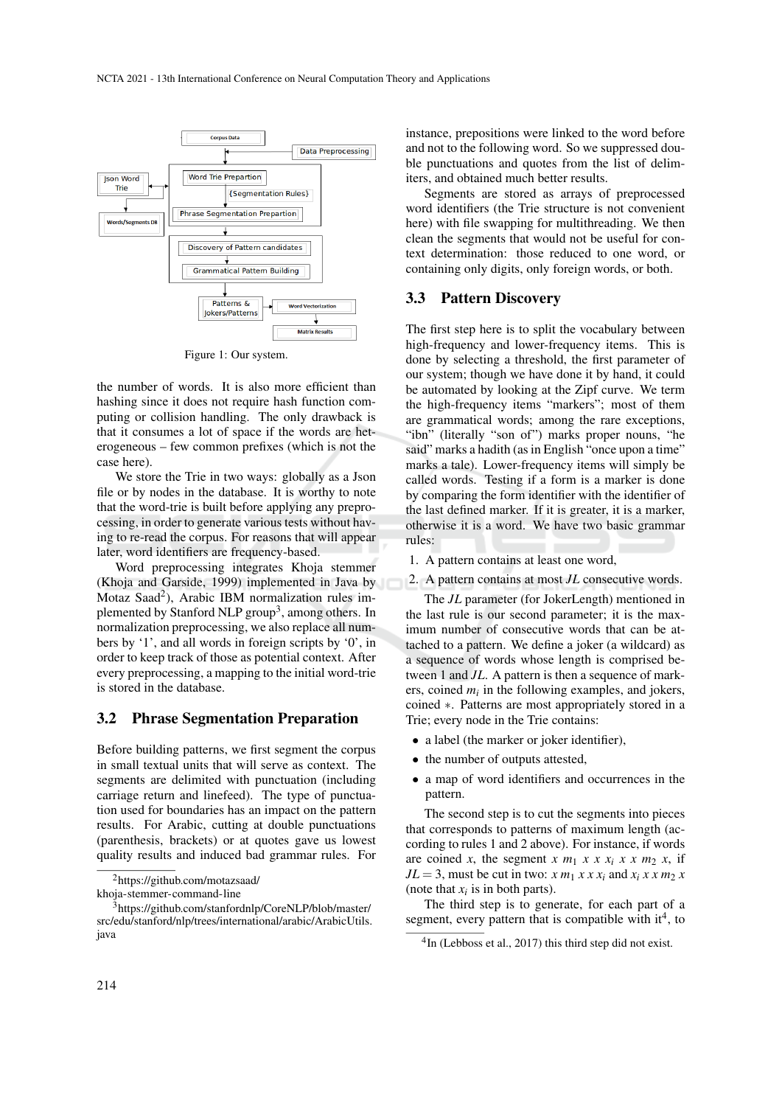

Figure 1: Our system.

the number of words. It is also more efficient than hashing since it does not require hash function computing or collision handling. The only drawback is that it consumes a lot of space if the words are heterogeneous – few common prefixes (which is not the case here).

We store the Trie in two ways: globally as a Json file or by nodes in the database. It is worthy to note that the word-trie is built before applying any preprocessing, in order to generate various tests without having to re-read the corpus. For reasons that will appear later, word identifiers are frequency-based.

Word preprocessing integrates Khoja stemmer (Khoja and Garside, 1999) implemented in Java by Motaz Saad<sup>2</sup>), Arabic IBM normalization rules implemented by Stanford NLP group<sup>3</sup>, among others. In normalization preprocessing, we also replace all numbers by '1', and all words in foreign scripts by '0', in order to keep track of those as potential context. After every preprocessing, a mapping to the initial word-trie is stored in the database.

#### 3.2 Phrase Segmentation Preparation

Before building patterns, we first segment the corpus in small textual units that will serve as context. The segments are delimited with punctuation (including carriage return and linefeed). The type of punctuation used for boundaries has an impact on the pattern results. For Arabic, cutting at double punctuations (parenthesis, brackets) or at quotes gave us lowest quality results and induced bad grammar rules. For

khoja-stemmer-command-line

instance, prepositions were linked to the word before and not to the following word. So we suppressed double punctuations and quotes from the list of delimiters, and obtained much better results.

Segments are stored as arrays of preprocessed word identifiers (the Trie structure is not convenient here) with file swapping for multithreading. We then clean the segments that would not be useful for context determination: those reduced to one word, or containing only digits, only foreign words, or both.

#### 3.3 Pattern Discovery

The first step here is to split the vocabulary between high-frequency and lower-frequency items. This is done by selecting a threshold, the first parameter of our system; though we have done it by hand, it could be automated by looking at the Zipf curve. We term the high-frequency items "markers"; most of them are grammatical words; among the rare exceptions, "ibn" (literally "son of") marks proper nouns, "he said" marks a hadith (as in English "once upon a time" marks a tale). Lower-frequency items will simply be called words. Testing if a form is a marker is done by comparing the form identifier with the identifier of the last defined marker. If it is greater, it is a marker, otherwise it is a word. We have two basic grammar rules:

- 1. A pattern contains at least one word,
- 2. A pattern contains at most *JL* consecutive words.

The *JL* parameter (for JokerLength) mentioned in the last rule is our second parameter; it is the maximum number of consecutive words that can be attached to a pattern. We define a joker (a wildcard) as a sequence of words whose length is comprised between 1 and *JL*. A pattern is then a sequence of markers, coined  $m_i$  in the following examples, and jokers, coined ∗. Patterns are most appropriately stored in a Trie; every node in the Trie contains:

- a label (the marker or joker identifier),
- the number of outputs attested,
- a map of word identifiers and occurrences in the pattern.

The second step is to cut the segments into pieces that corresponds to patterns of maximum length (according to rules 1 and 2 above). For instance, if words are coined *x*, the segment *x*  $m_1$  *x x x<sub>i</sub> x x*  $m_2$  *x*, if  $JL = 3$ , must be cut in two:  $x m_1 x x x_i$  and  $x_i x x m_2 x$ (note that  $x_i$  is in both parts).

The third step is to generate, for each part of a segment, every pattern that is compatible with  $it<sup>4</sup>$ , to

<sup>2</sup>https://github.com/motazsaad/

<sup>&</sup>lt;sup>3</sup>https://github.com/stanfordnlp/CoreNLP/blob/master/ src/edu/stanford/nlp/trees/international/arabic/ArabicUtils. java

<sup>&</sup>lt;sup>4</sup>In (Lebboss et al., 2017) this third step did not exist.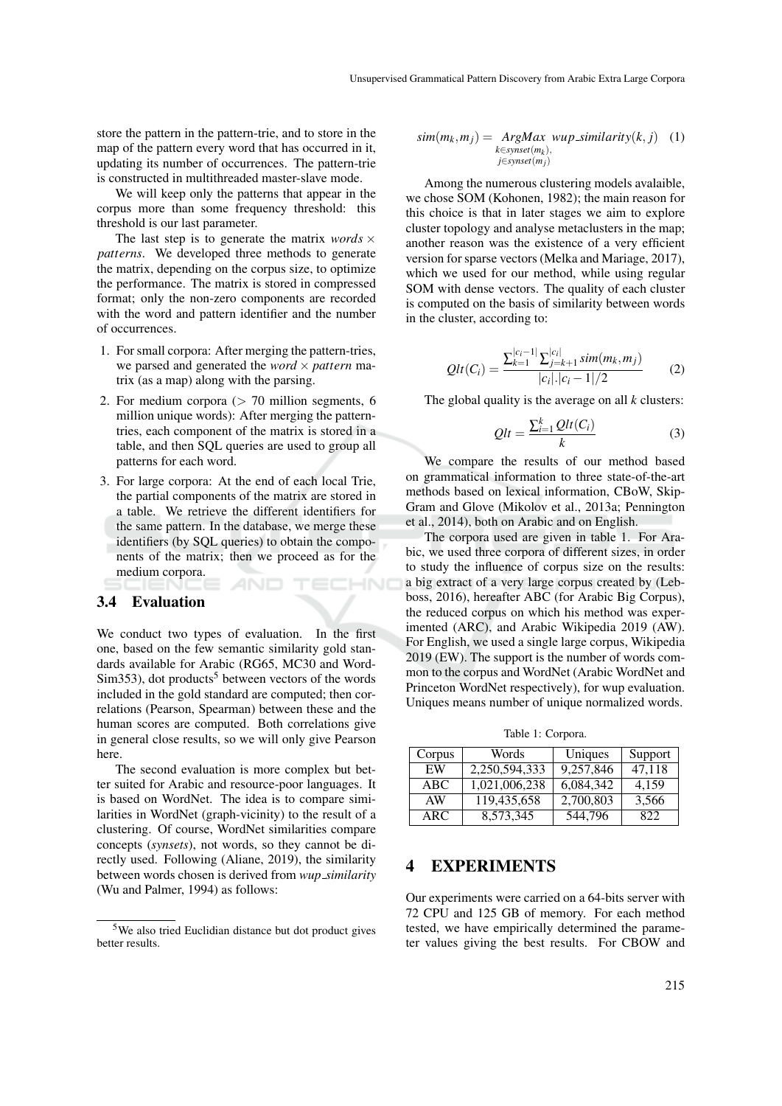store the pattern in the pattern-trie, and to store in the map of the pattern every word that has occurred in it, updating its number of occurrences. The pattern-trie is constructed in multithreaded master-slave mode.

We will keep only the patterns that appear in the corpus more than some frequency threshold: this threshold is our last parameter.

The last step is to generate the matrix *words*  $\times$ *patterns*. We developed three methods to generate the matrix, depending on the corpus size, to optimize the performance. The matrix is stored in compressed format; only the non-zero components are recorded with the word and pattern identifier and the number of occurrences.

- 1. For small corpora: After merging the pattern-tries, we parsed and generated the *word*  $\times$  *pattern* matrix (as a map) along with the parsing.
- 2. For medium corpora  $(> 70$  million segments, 6 million unique words): After merging the patterntries, each component of the matrix is stored in a table, and then SQL queries are used to group all patterns for each word.
- 3. For large corpora: At the end of each local Trie, the partial components of the matrix are stored in a table. We retrieve the different identifiers for the same pattern. In the database, we merge these identifiers (by SQL queries) to obtain the components of the matrix; then we proceed as for the medium corpora. HNC

#### 3.4 Evaluation

We conduct two types of evaluation. In the first one, based on the few semantic similarity gold standards available for Arabic (RG65, MC30 and Word- $Sim353$ ), dot products<sup>5</sup> between vectors of the words included in the gold standard are computed; then correlations (Pearson, Spearman) between these and the human scores are computed. Both correlations give in general close results, so we will only give Pearson here.

The second evaluation is more complex but better suited for Arabic and resource-poor languages. It is based on WordNet. The idea is to compare similarities in WordNet (graph-vicinity) to the result of a clustering. Of course, WordNet similarities compare concepts (*synsets*), not words, so they cannot be directly used. Following (Aliane, 2019), the similarity between words chosen is derived from *wup similarity* (Wu and Palmer, 1994) as follows:

$$
sim(m_k, m_j) = \underset{\substack{k \in synset(m_k), \\ j \in synset(m_j)}}{ArgMax \ wup\_similarity(k, j)} \quad (1)
$$

Among the numerous clustering models avalaible, we chose SOM (Kohonen, 1982); the main reason for this choice is that in later stages we aim to explore cluster topology and analyse metaclusters in the map; another reason was the existence of a very efficient version for sparse vectors (Melka and Mariage, 2017), which we used for our method, while using regular SOM with dense vectors. The quality of each cluster is computed on the basis of similarity between words in the cluster, according to:

$$
Qlt(C_i) = \frac{\sum_{k=1}^{|c_i-1|} \sum_{j=k+1}^{|c_i|} sim(m_k, m_j)}{|c_i| \cdot |c_i - 1|/2}
$$
 (2)

The global quality is the average on all *k* clusters:

$$
Qlt = \frac{\sum_{i=1}^{k} Qlt(C_i)}{k} \tag{3}
$$

We compare the results of our method based on grammatical information to three state-of-the-art methods based on lexical information, CBoW, Skip-Gram and Glove (Mikolov et al., 2013a; Pennington et al., 2014), both on Arabic and on English.

The corpora used are given in table 1. For Arabic, we used three corpora of different sizes, in order to study the influence of corpus size on the results: a big extract of a very large corpus created by (Lebboss, 2016), hereafter ABC (for Arabic Big Corpus), the reduced corpus on which his method was experimented (ARC), and Arabic Wikipedia 2019 (AW). For English, we used a single large corpus, Wikipedia 2019 (EW). The support is the number of words common to the corpus and WordNet (Arabic WordNet and Princeton WordNet respectively), for wup evaluation. Uniques means number of unique normalized words.

Table 1: Corpora.

| Corpus | Words         | Uniques   | Support |
|--------|---------------|-----------|---------|
| EW     | 2,250,594,333 | 9,257,846 | 47,118  |
| ABC    | 1,021,006,238 | 6,084,342 | 4.159   |
| AW     | 119,435,658   | 2,700,803 | 3,566   |
| ARC    | 8,573,345     | 544.796   | 822     |

#### 4 EXPERIMENTS

Our experiments were carried on a 64-bits server with 72 CPU and 125 GB of memory. For each method tested, we have empirically determined the parameter values giving the best results. For CBOW and

<sup>5</sup>We also tried Euclidian distance but dot product gives better results.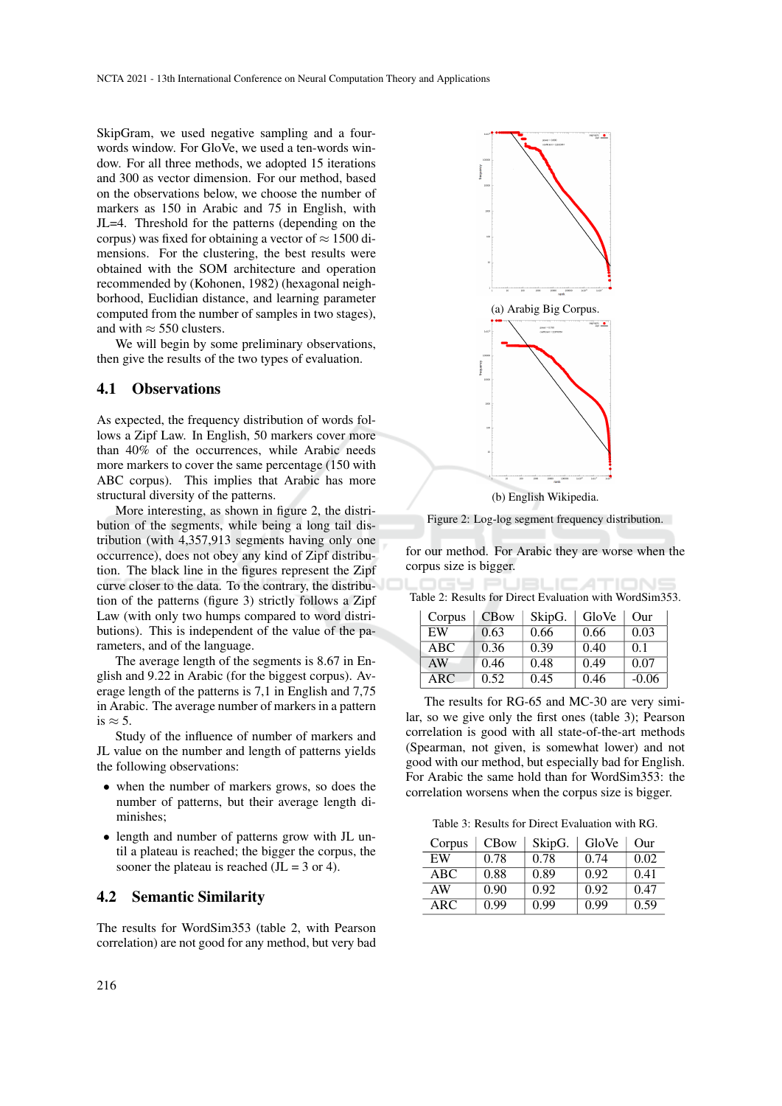SkipGram, we used negative sampling and a fourwords window. For GloVe, we used a ten-words window. For all three methods, we adopted 15 iterations and 300 as vector dimension. For our method, based on the observations below, we choose the number of markers as 150 in Arabic and 75 in English, with JL=4. Threshold for the patterns (depending on the corpus) was fixed for obtaining a vector of  $\approx 1500$  dimensions. For the clustering, the best results were obtained with the SOM architecture and operation recommended by (Kohonen, 1982) (hexagonal neighborhood, Euclidian distance, and learning parameter computed from the number of samples in two stages), and with  $\approx$  550 clusters.

We will begin by some preliminary observations, then give the results of the two types of evaluation.

#### 4.1 Observations

As expected, the frequency distribution of words follows a Zipf Law. In English, 50 markers cover more than 40% of the occurrences, while Arabic needs more markers to cover the same percentage (150 with ABC corpus). This implies that Arabic has more structural diversity of the patterns.

More interesting, as shown in figure 2, the distribution of the segments, while being a long tail distribution (with 4,357,913 segments having only one occurrence), does not obey any kind of Zipf distribution. The black line in the figures represent the Zipf curve closer to the data. To the contrary, the distribution of the patterns (figure 3) strictly follows a Zipf Law (with only two humps compared to word distributions). This is independent of the value of the parameters, and of the language.

The average length of the segments is 8.67 in English and 9.22 in Arabic (for the biggest corpus). Average length of the patterns is 7,1 in English and 7,75 in Arabic. The average number of markers in a pattern is  $\approx$  5.

Study of the influence of number of markers and JL value on the number and length of patterns yields the following observations:

- when the number of markers grows, so does the number of patterns, but their average length diminishes;
- length and number of patterns grow with JL until a plateau is reached; the bigger the corpus, the sooner the plateau is reached  $(JL = 3 \text{ or } 4)$ .

## 4.2 Semantic Similarity

The results for WordSim353 (table 2, with Pearson correlation) are not good for any method, but very bad



Figure 2: Log-log segment frequency distribution.

for our method. For Arabic they are worse when the corpus size is bigger.

<u>IC ATIONS</u> Table 2: Results for Direct Evaluation with WordSim353.

 $= -1$ 

 $\Box$ 

| Corpus     | <b>CBow</b> | SkipG. | GloVe | Our     |
|------------|-------------|--------|-------|---------|
| EW         | 0.63        | 0.66   | 0.66  | 0.03    |
| ABC.       | 0.36        | 0.39   | 0.40  | 0.1     |
| AW         | 0.46        | 0.48   | 0.49  | 0.07    |
| <b>ARC</b> | 0.52        | 0.45   | 0.46  | $-0.06$ |

The results for RG-65 and MC-30 are very similar, so we give only the first ones (table 3); Pearson correlation is good with all state-of-the-art methods (Spearman, not given, is somewhat lower) and not good with our method, but especially bad for English. For Arabic the same hold than for WordSim353: the correlation worsens when the corpus size is bigger.

Table 3: Results for Direct Evaluation with RG.

| Corpus | CBow | SkipG. | GloVe | Our  |
|--------|------|--------|-------|------|
| EW     | 0.78 | 0.78   | 0.74  | 0.02 |
| ABC    | 0.88 | 0.89   | 0.92  | 0.41 |
| AW     | 0.90 | 0.92   | 0.92  | 0.47 |
| ARC    | 0.99 | 0.99   | 0.99  | 0.59 |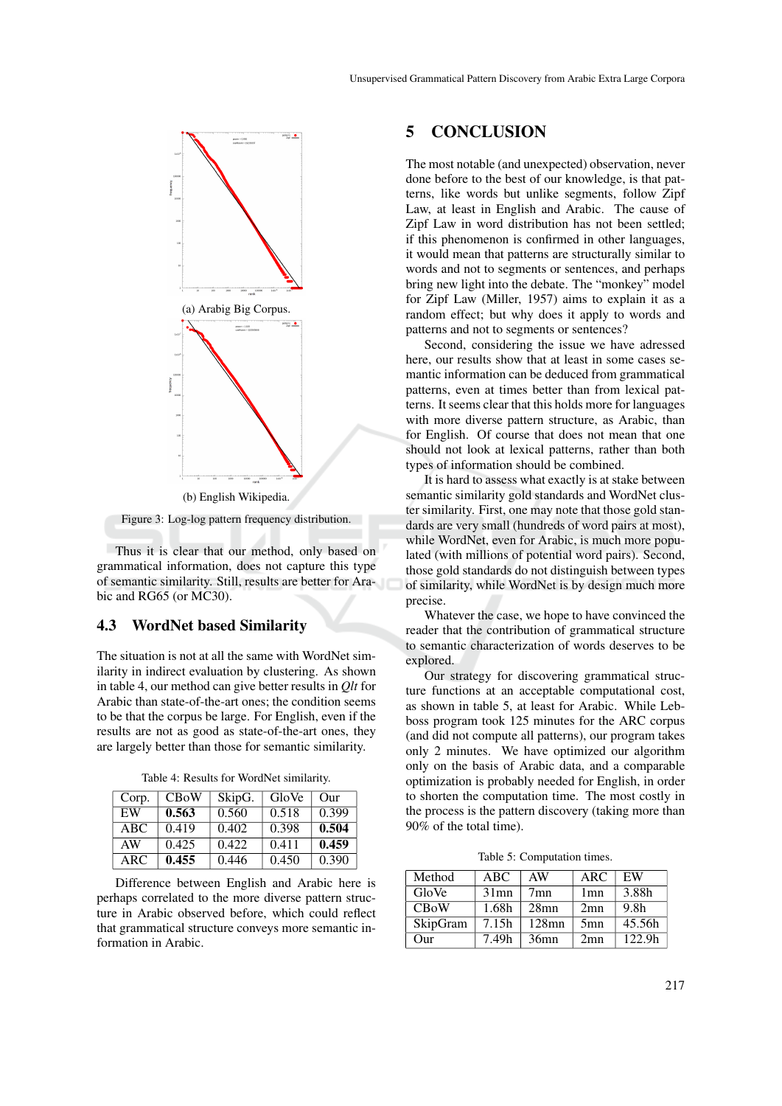

Figure 3: Log-log pattern frequency distribution.

Thus it is clear that our method, only based on grammatical information, does not capture this type of semantic similarity. Still, results are better for Arabic and RG65 (or MC30).

## 4.3 WordNet based Similarity

The situation is not at all the same with WordNet similarity in indirect evaluation by clustering. As shown in table 4, our method can give better results in *Qlt* for Arabic than state-of-the-art ones; the condition seems to be that the corpus be large. For English, even if the results are not as good as state-of-the-art ones, they are largely better than those for semantic similarity.

| Corp. | <b>CBoW</b> | SkipG. | GloVe | Our   |
|-------|-------------|--------|-------|-------|
| EW    | 0.563       | 0.560  | 0.518 | 0.399 |
| ABC   | 0.419       | 0.402  | 0.398 | 0.504 |
| AW    | 0.425       | 0.422  | 0.411 | 0.459 |
| ARC   | 0.455       | 0.446  | 0.450 | 0.390 |

Difference between English and Arabic here is perhaps correlated to the more diverse pattern structure in Arabic observed before, which could reflect that grammatical structure conveys more semantic information in Arabic.

## 5 CONCLUSION

The most notable (and unexpected) observation, never done before to the best of our knowledge, is that patterns, like words but unlike segments, follow Zipf Law, at least in English and Arabic. The cause of Zipf Law in word distribution has not been settled; if this phenomenon is confirmed in other languages, it would mean that patterns are structurally similar to words and not to segments or sentences, and perhaps bring new light into the debate. The "monkey" model for Zipf Law (Miller, 1957) aims to explain it as a random effect; but why does it apply to words and patterns and not to segments or sentences?

Second, considering the issue we have adressed here, our results show that at least in some cases semantic information can be deduced from grammatical patterns, even at times better than from lexical patterns. It seems clear that this holds more for languages with more diverse pattern structure, as Arabic, than for English. Of course that does not mean that one should not look at lexical patterns, rather than both types of information should be combined.

It is hard to assess what exactly is at stake between semantic similarity gold standards and WordNet cluster similarity. First, one may note that those gold standards are very small (hundreds of word pairs at most), while WordNet, even for Arabic, is much more populated (with millions of potential word pairs). Second, those gold standards do not distinguish between types of similarity, while WordNet is by design much more precise.

Whatever the case, we hope to have convinced the reader that the contribution of grammatical structure to semantic characterization of words deserves to be explored.

Our strategy for discovering grammatical structure functions at an acceptable computational cost, as shown in table 5, at least for Arabic. While Lebboss program took 125 minutes for the ARC corpus (and did not compute all patterns), our program takes only 2 minutes. We have optimized our algorithm only on the basis of Arabic data, and a comparable optimization is probably needed for English, in order to shorten the computation time. The most costly in the process is the pattern discovery (taking more than 90% of the total time).

Table 5: Computation times.

| Method      | ABC     | AW       | ARC             | EW                 |
|-------------|---------|----------|-----------------|--------------------|
| GloVe       | $31$ mn | 7mn      | 1mn             | 3.88h              |
| <b>CBoW</b> | 1.68h   | 28mn     | 2mn             | 9.8 <sub>h</sub>   |
| SkipGram    | 7.15h   | $128$ mn | 5 <sub>mn</sub> | 45.56h             |
| Our         | 7.49h   | 36mn     | 2mn             | 122.9 <sub>h</sub> |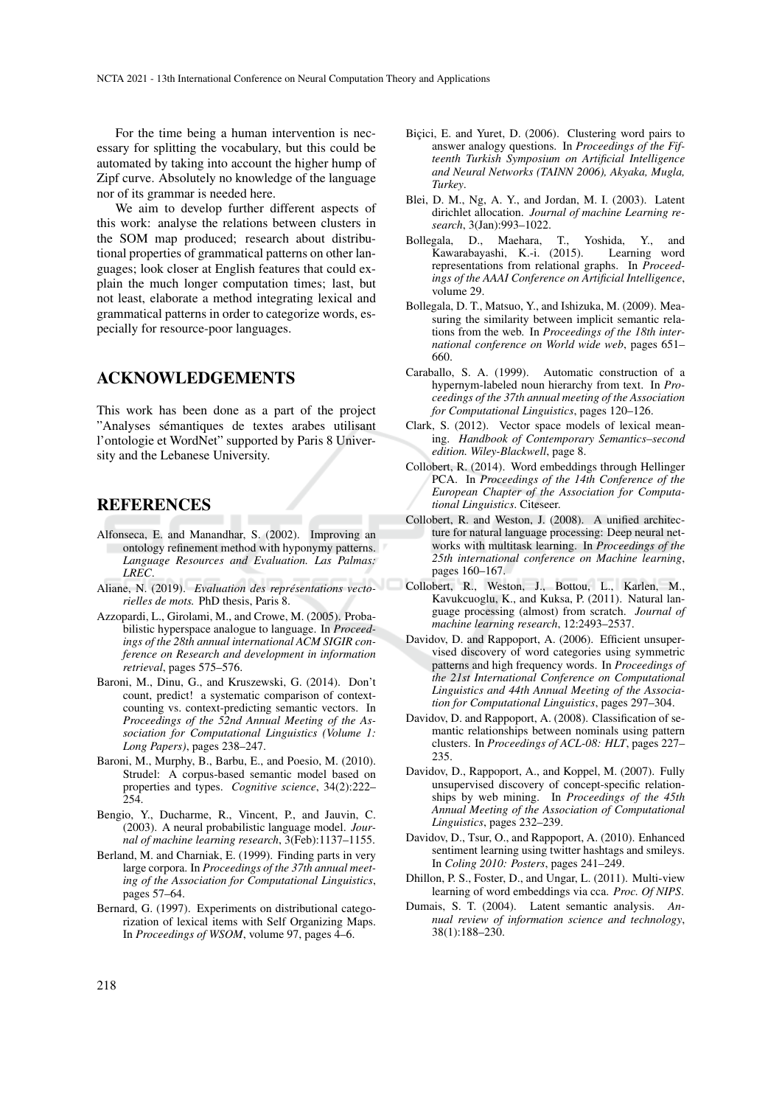For the time being a human intervention is necessary for splitting the vocabulary, but this could be automated by taking into account the higher hump of Zipf curve. Absolutely no knowledge of the language nor of its grammar is needed here.

We aim to develop further different aspects of this work: analyse the relations between clusters in the SOM map produced; research about distributional properties of grammatical patterns on other languages; look closer at English features that could explain the much longer computation times; last, but not least, elaborate a method integrating lexical and grammatical patterns in order to categorize words, especially for resource-poor languages.

#### ACKNOWLEDGEMENTS

This work has been done as a part of the project "Analyses sémantiques de textes arabes utilisant l'ontologie et WordNet" supported by Paris 8 University and the Lebanese University.

#### **REFERENCES**

- Alfonseca, E. and Manandhar, S. (2002). Improving an ontology refinement method with hyponymy patterns. *Language Resources and Evaluation. Las Palmas: LREC*.
- Aliane, N. (2019). *Evaluation des representations vecto- ´ rielles de mots.* PhD thesis, Paris 8.
- Azzopardi, L., Girolami, M., and Crowe, M. (2005). Probabilistic hyperspace analogue to language. In *Proceedings of the 28th annual international ACM SIGIR conference on Research and development in information retrieval*, pages 575–576.
- Baroni, M., Dinu, G., and Kruszewski, G. (2014). Don't count, predict! a systematic comparison of contextcounting vs. context-predicting semantic vectors. In *Proceedings of the 52nd Annual Meeting of the Association for Computational Linguistics (Volume 1: Long Papers)*, pages 238–247.
- Baroni, M., Murphy, B., Barbu, E., and Poesio, M. (2010). Strudel: A corpus-based semantic model based on properties and types. *Cognitive science*, 34(2):222–  $254.$
- Bengio, Y., Ducharme, R., Vincent, P., and Jauvin, C. (2003). A neural probabilistic language model. *Journal of machine learning research*, 3(Feb):1137–1155.
- Berland, M. and Charniak, E. (1999). Finding parts in very large corpora. In *Proceedings of the 37th annual meeting of the Association for Computational Linguistics*, pages 57–64.
- Bernard, G. (1997). Experiments on distributional categorization of lexical items with Self Organizing Maps. In *Proceedings of WSOM*, volume 97, pages 4–6.
- Biçici, E. and Yuret, D. (2006). Clustering word pairs to answer analogy questions. In *Proceedings of the Fifteenth Turkish Symposium on Artificial Intelligence and Neural Networks (TAINN 2006), Akyaka, Mugla, Turkey*.
- Blei, D. M., Ng, A. Y., and Jordan, M. I. (2003). Latent dirichlet allocation. *Journal of machine Learning research*, 3(Jan):993–1022.
- Bollegala, D., Maehara, T., Yoshida, Y., and Kawarabayashi, K.-i. (2015). Learning word representations from relational graphs. In *Proceedings of the AAAI Conference on Artificial Intelligence*, volume 29.
- Bollegala, D. T., Matsuo, Y., and Ishizuka, M. (2009). Measuring the similarity between implicit semantic relations from the web. In *Proceedings of the 18th international conference on World wide web*, pages 651– 660.
- Caraballo, S. A. (1999). Automatic construction of a hypernym-labeled noun hierarchy from text. In *Proceedings of the 37th annual meeting of the Association for Computational Linguistics*, pages 120–126.
- Clark, S. (2012). Vector space models of lexical meaning. *Handbook of Contemporary Semantics–second edition. Wiley-Blackwell*, page 8.
- Collobert, R. (2014). Word embeddings through Hellinger PCA. In *Proceedings of the 14th Conference of the European Chapter of the Association for Computational Linguistics*. Citeseer.
- Collobert, R. and Weston, J. (2008). A unified architecture for natural language processing: Deep neural networks with multitask learning. In *Proceedings of the 25th international conference on Machine learning*, pages 160–167.
- Collobert, R., Weston, J., Bottou, L., Karlen, M., Kavukcuoglu, K., and Kuksa, P. (2011). Natural language processing (almost) from scratch. *Journal of machine learning research*, 12:2493–2537.
- Davidov, D. and Rappoport, A. (2006). Efficient unsupervised discovery of word categories using symmetric patterns and high frequency words. In *Proceedings of the 21st International Conference on Computational Linguistics and 44th Annual Meeting of the Association for Computational Linguistics*, pages 297–304.
- Davidov, D. and Rappoport, A. (2008). Classification of semantic relationships between nominals using pattern clusters. In *Proceedings of ACL-08: HLT*, pages 227– 235.
- Davidov, D., Rappoport, A., and Koppel, M. (2007). Fully unsupervised discovery of concept-specific relationships by web mining. In *Proceedings of the 45th Annual Meeting of the Association of Computational Linguistics*, pages 232–239.
- Davidov, D., Tsur, O., and Rappoport, A. (2010). Enhanced sentiment learning using twitter hashtags and smileys. In *Coling 2010: Posters*, pages 241–249.
- Dhillon, P. S., Foster, D., and Ungar, L. (2011). Multi-view learning of word embeddings via cca. *Proc. Of NIPS*.
- Dumais, S. T. (2004). Latent semantic analysis. *Annual review of information science and technology*, 38(1):188–230.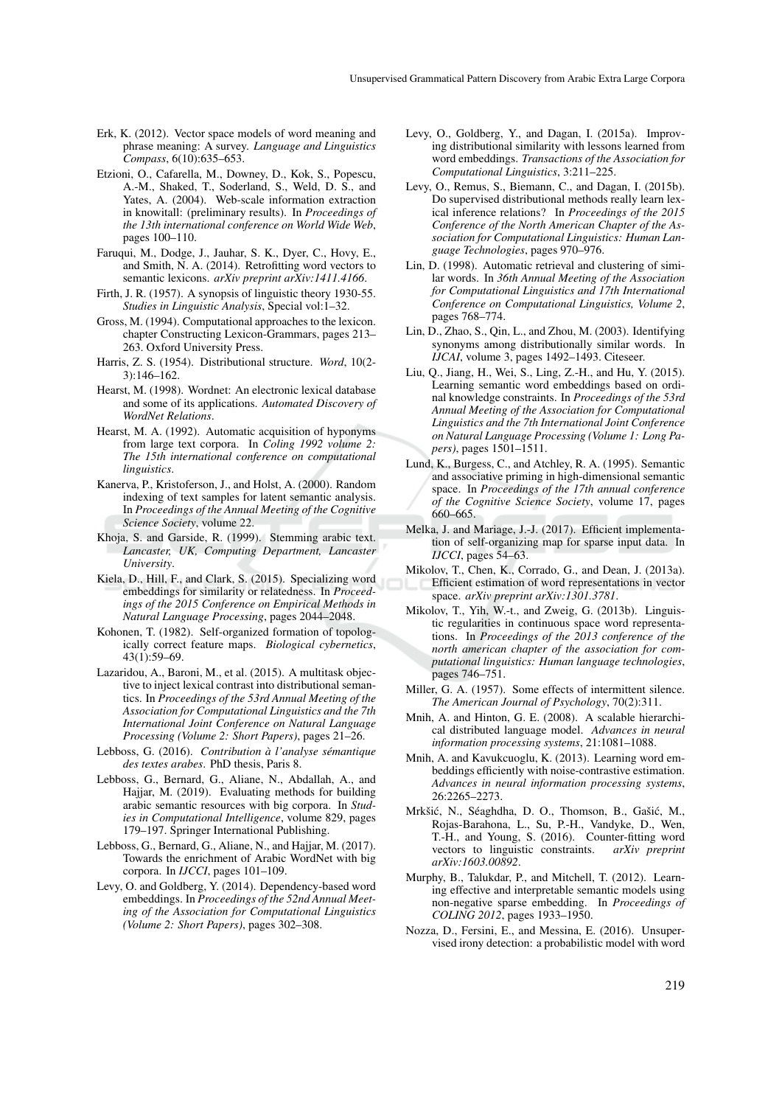- Erk, K. (2012). Vector space models of word meaning and phrase meaning: A survey. *Language and Linguistics Compass*, 6(10):635–653.
- Etzioni, O., Cafarella, M., Downey, D., Kok, S., Popescu, A.-M., Shaked, T., Soderland, S., Weld, D. S., and Yates, A. (2004). Web-scale information extraction in knowitall: (preliminary results). In *Proceedings of the 13th international conference on World Wide Web*, pages 100–110.
- Faruqui, M., Dodge, J., Jauhar, S. K., Dyer, C., Hovy, E., and Smith, N. A. (2014). Retrofitting word vectors to semantic lexicons. *arXiv preprint arXiv:1411.4166*.
- Firth, J. R. (1957). A synopsis of linguistic theory 1930-55. *Studies in Linguistic Analysis*, Special vol:1–32.
- Gross, M. (1994). Computational approaches to the lexicon. chapter Constructing Lexicon-Grammars, pages 213– 263. Oxford University Press.
- Harris, Z. S. (1954). Distributional structure. *Word*, 10(2- 3):146–162.
- Hearst, M. (1998). Wordnet: An electronic lexical database and some of its applications. *Automated Discovery of WordNet Relations*.
- Hearst, M. A. (1992). Automatic acquisition of hyponyms from large text corpora. In *Coling 1992 volume 2: The 15th international conference on computational linguistics*.
- Kanerva, P., Kristoferson, J., and Holst, A. (2000). Random indexing of text samples for latent semantic analysis. In *Proceedings of the Annual Meeting of the Cognitive Science Society*, volume 22.
- Khoja, S. and Garside, R. (1999). Stemming arabic text. *Lancaster, UK, Computing Department, Lancaster University*.
- Kiela, D., Hill, F., and Clark, S. (2015). Specializing word embeddings for similarity or relatedness. In *Proceedings of the 2015 Conference on Empirical Methods in Natural Language Processing*, pages 2044–2048.
- Kohonen, T. (1982). Self-organized formation of topologically correct feature maps. *Biological cybernetics*, 43(1):59–69.
- Lazaridou, A., Baroni, M., et al. (2015). A multitask objective to inject lexical contrast into distributional semantics. In *Proceedings of the 53rd Annual Meeting of the Association for Computational Linguistics and the 7th International Joint Conference on Natural Language Processing (Volume 2: Short Papers)*, pages 21–26.
- Lebboss, G. (2016). *Contribution* à l'analyse sémantique *des textes arabes*. PhD thesis, Paris 8.
- Lebboss, G., Bernard, G., Aliane, N., Abdallah, A., and Hajjar, M. (2019). Evaluating methods for building arabic semantic resources with big corpora. In *Studies in Computational Intelligence*, volume 829, pages 179–197. Springer International Publishing.
- Lebboss, G., Bernard, G., Aliane, N., and Hajjar, M. (2017). Towards the enrichment of Arabic WordNet with big corpora. In *IJCCI*, pages 101–109.
- Levy, O. and Goldberg, Y. (2014). Dependency-based word embeddings. In *Proceedings of the 52nd Annual Meeting of the Association for Computational Linguistics (Volume 2: Short Papers)*, pages 302–308.
- Levy, O., Goldberg, Y., and Dagan, I. (2015a). Improving distributional similarity with lessons learned from word embeddings. *Transactions of the Association for Computational Linguistics*, 3:211–225.
- Levy, O., Remus, S., Biemann, C., and Dagan, I. (2015b). Do supervised distributional methods really learn lexical inference relations? In *Proceedings of the 2015 Conference of the North American Chapter of the Association for Computational Linguistics: Human Language Technologies*, pages 970–976.
- Lin, D. (1998). Automatic retrieval and clustering of similar words. In *36th Annual Meeting of the Association for Computational Linguistics and 17th International Conference on Computational Linguistics, Volume 2*, pages 768–774.
- Lin, D., Zhao, S., Qin, L., and Zhou, M. (2003). Identifying synonyms among distributionally similar words. In *IJCAI*, volume 3, pages 1492–1493. Citeseer.
- Liu, Q., Jiang, H., Wei, S., Ling, Z.-H., and Hu, Y. (2015). Learning semantic word embeddings based on ordinal knowledge constraints. In *Proceedings of the 53rd Annual Meeting of the Association for Computational Linguistics and the 7th International Joint Conference on Natural Language Processing (Volume 1: Long Papers)*, pages 1501–1511.
- Lund, K., Burgess, C., and Atchley, R. A. (1995). Semantic and associative priming in high-dimensional semantic space. In *Proceedings of the 17th annual conference of the Cognitive Science Society*, volume 17, pages 660–665.
- Melka, J. and Mariage, J.-J. (2017). Efficient implementation of self-organizing map for sparse input data. In *IJCCI*, pages 54–63.
- Mikolov, T., Chen, K., Corrado, G., and Dean, J. (2013a). Efficient estimation of word representations in vector space. *arXiv preprint arXiv:1301.3781*.
- Mikolov, T., Yih, W.-t., and Zweig, G. (2013b). Linguistic regularities in continuous space word representations. In *Proceedings of the 2013 conference of the north american chapter of the association for computational linguistics: Human language technologies*, pages 746–751.
- Miller, G. A. (1957). Some effects of intermittent silence. *The American Journal of Psychology*, 70(2):311.
- Mnih, A. and Hinton, G. E. (2008). A scalable hierarchical distributed language model. *Advances in neural information processing systems*, 21:1081–1088.
- Mnih, A. and Kavukcuoglu, K. (2013). Learning word embeddings efficiently with noise-contrastive estimation. *Advances in neural information processing systems*, 26:2265–2273.
- Mrkšić, N., Séaghdha, D. O., Thomson, B., Gašić, M., Rojas-Barahona, L., Su, P.-H., Vandyke, D., Wen, T.-H., and Young, S. (2016). Counter-fitting word vectors to linguistic constraints. *arXiv preprint arXiv:1603.00892*.
- Murphy, B., Talukdar, P., and Mitchell, T. (2012). Learning effective and interpretable semantic models using non-negative sparse embedding. In *Proceedings of COLING 2012*, pages 1933–1950.
- Nozza, D., Fersini, E., and Messina, E. (2016). Unsupervised irony detection: a probabilistic model with word